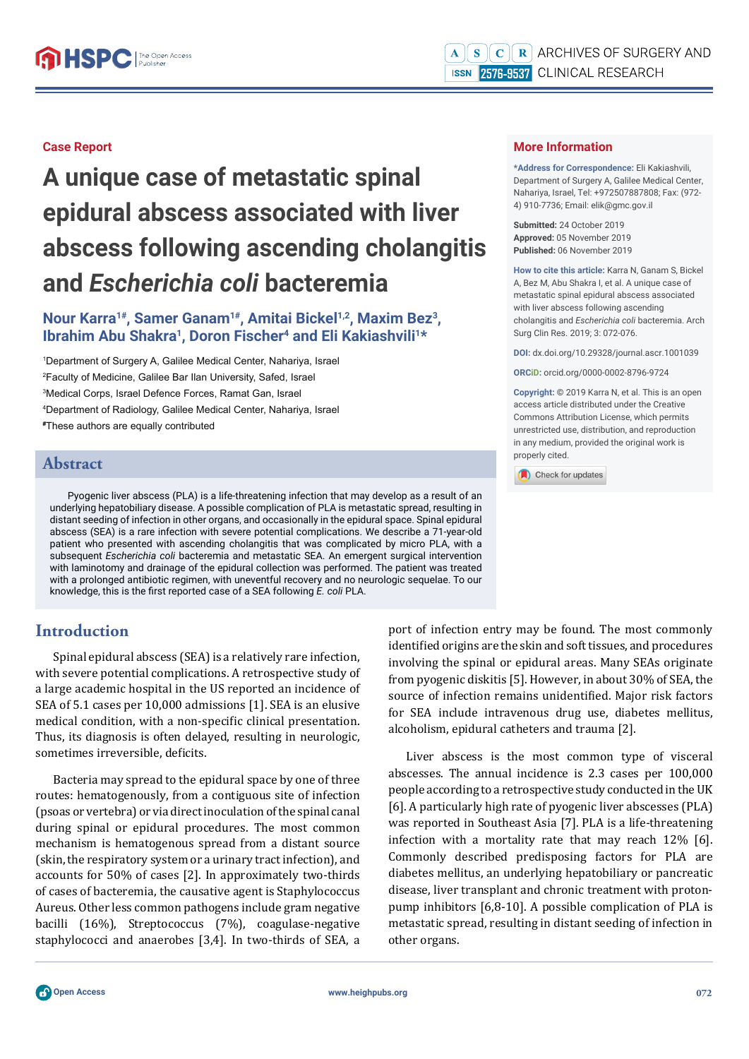#### **Case Report**

**A unique case of metastatic spinal epidural abscess associated with liver abscess following ascending cholangitis and** *Escherichia coli* **bacteremia**

## **Nour Karra1#, Samer Ganam1#, Amitai Bickel1,2, Maxim Bez3, Ibrahim Abu Shakra<sup>1</sup>, Doron Fischer<sup>4</sup> and Eli Kakiashvili<sup>1\*</sup>**

 Department of Surgery A, Galilee Medical Center, Nahariya, Israel Faculty of Medicine, Galilee Bar Ilan University, Safed, Israel Medical Corps, Israel Defence Forces, Ramat Gan, Israel Department of Radiology, Galilee Medical Center, Nahariya, Israel **#** These authors are equally contributed

### **Abstract**

Pyogenic liver abscess (PLA) is a life-threatening infection that may develop as a result of an underlying hepatobiliary disease. A possible complication of PLA is metastatic spread, resulting in distant seeding of infection in other organs, and occasionally in the epidural space. Spinal epidural abscess (SEA) is a rare infection with severe potential complications. We describe a 71-year-old patient who presented with ascending cholangitis that was complicated by micro PLA, with a subsequent *Escherichia coli* bacteremia and metastatic SEA. An emergent surgical intervention with laminotomy and drainage of the epidural collection was performed. The patient was treated with a prolonged antibiotic regimen, with uneventful recovery and no neurologic sequelae. To our knowledge, this is the first reported case of a SEA following *E. coli* PLA.

# **Introduction**

Spinal epidural abscess (SEA) is a relatively rare infection, with severe potential complications. A retrospective study of a large academic hospital in the US reported an incidence of SEA of 5.1 cases per 10,000 admissions [1]. SEA is an elusive medical condition, with a non-specific clinical presentation. Thus, its diagnosis is often delayed, resulting in neurologic, sometimes irreversible, deficits.

Bacteria may spread to the epidural space by one of three routes: hematogenously, from a contiguous site of infection (psoas or vertebra) or via direct inoculation of the spinal canal during spinal or epidural procedures. The most common mechanism is hematogenous spread from a distant source (skin, the respiratory system or a urinary tract infection), and accounts for 50% of cases [2]. In approximately two-thirds of cases of bacteremia, the causative agent is Staphylococcus Aureus. Other less common pathogens include gram negative bacilli (16%), Streptococcus (7%), coagulase-negative staphylococci and anaerobes [3,4]. In two-thirds of SEA, a port of infection entry may be found. The most commonly identified origins are the skin and soft tissues, and procedures involving the spinal or epidural areas. Many SEAs originate from pyogenic diskitis [5]. However, in about 30% of SEA, the source of infection remains unidentified. Major risk factors for SEA include intravenous drug use, diabetes mellitus, alcoholism, epidural catheters and trauma [2].

Liver abscess is the most common type of visceral abscesses. The annual incidence is 2.3 cases per 100,000 people according to a retrospective study conducted in the UK [6]. A particularly high rate of pyogenic liver abscesses (PLA) was reported in Southeast Asia [7]. PLA is a life-threatening infection with a mortality rate that may reach 12% [6]. Commonly described predisposing factors for PLA are diabetes mellitus, an underlying hepatobiliary or pancreatic disease, liver transplant and chronic treatment with protonpump inhibitors [6,8-10]. A possible complication of PLA is metastatic spread, resulting in distant seeding of infection in other organs.

**\*Address for Correspondence:** Eli Kakiashvili, Department of Surgery A, Galilee Medical Center, Nahariya, Israel, Tel: +972507887808; Fax: (972- 4) 910-7736; Email: elik@gmc.gov.il

**Submitted:** 24 October 2019 **Approved:** 05 November 2019 **Published:** 06 November 2019

**How to cite this article:** Karra N, Ganam S, Bickel A, Bez M, Abu Shakra I, et al. A unique case of metastatic spinal epidural abscess associated with liver abscess following ascending cholangitis and *Escherichia coli* bacteremia. Arch Surg Clin Res. 2019; 3: 072-076.

**DOI:** dx.doi.org/10.29328/journal.ascr.1001039

**ORCiD:** orcid.org/0000-0002-8796-9724

**Copyright: ©** 2019 Karra N, et al. This is an open access article distributed under the Creative Commons Attribution License, which permits unrestricted use, distribution, and reproduction in any medium, provided the original work is properly cited.

Check for updates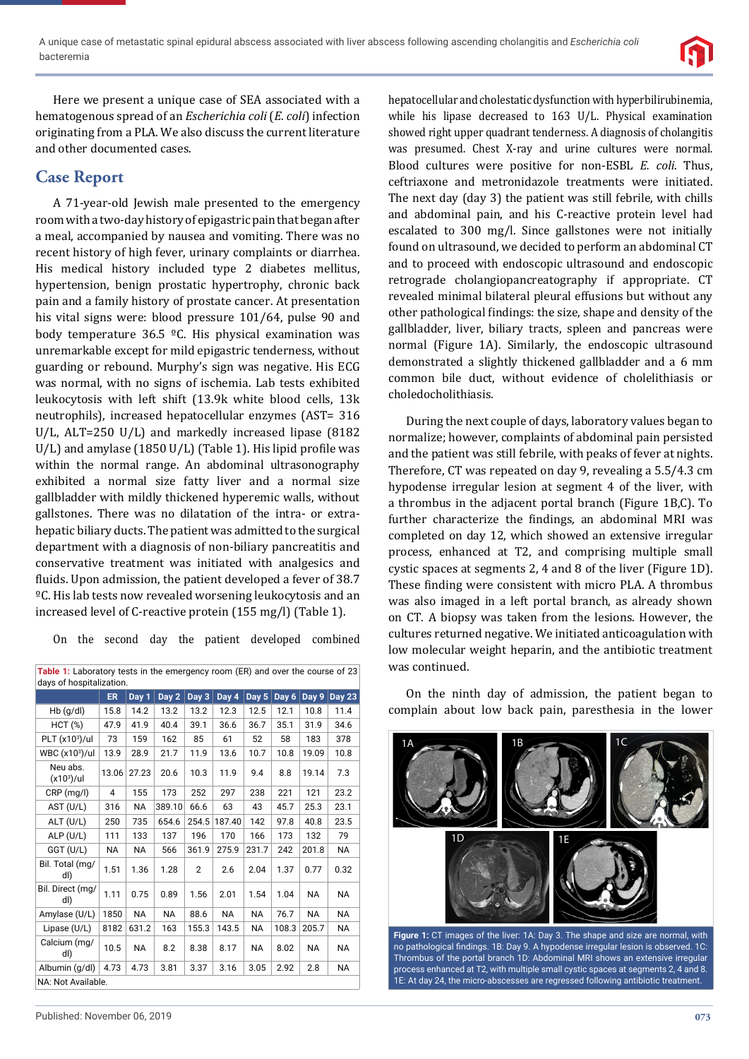

Here we present a unique case of SEA associated with a hematogenous spread of an *Escherichia coli* (*E. coli*) infection originating from a PLA. We also discuss the current literature and other documented cases.

# **Case Report**

A 71-year-old Jewish male presented to the emergency room with a two-day history of epigastric pain that began after a meal, accompanied by nausea and vomiting. There was no recent history of high fever, urinary complaints or diarrhea. His medical history included type 2 diabetes mellitus, hypertension, benign prostatic hypertrophy, chronic back pain and a family history of prostate cancer. At presentation his vital signs were: blood pressure 101/64, pulse 90 and body temperature 36.5 ºC. His physical examination was unremarkable except for mild epigastric tenderness, without guarding or rebound. Murphy's sign was negative. His ECG was normal, with no signs of ischemia. Lab tests exhibited leukocytosis with left shift (13.9k white blood cells, 13k neutrophils), increased hepatocellular enzymes (AST= 316 U/L, ALT=250 U/L) and markedly increased lipase (8182  $U/L$ ) and amylase (1850  $U/L$ ) (Table 1). His lipid profile was within the normal range. An abdominal ultrasonography exhibited a normal size fatty liver and a normal size gallbladder with mildly thickened hyperemic walls, without gallstones. There was no dilatation of the intra- or extrahepatic biliary ducts. The patient was admitted to the surgical department with a diagnosis of non-biliary pancreatitis and conservative treatment was initiated with analgesics and fluids. Upon admission, the patient developed a fever of 38.7 ºC. His lab tests now revealed worsening leukocytosis and an increased level of C-reactive protein (155 mg/l) (Table 1).

On the second day the patient developed combined

| Table 1: Laboratory tests in the emergency room (ER) and over the course of 23<br>days of hospitalization. |       |           |           |                |                    |           |       |           |               |
|------------------------------------------------------------------------------------------------------------|-------|-----------|-----------|----------------|--------------------|-----------|-------|-----------|---------------|
|                                                                                                            | ER.   | Day 1     | Day 2     | Day 3          | $\overline{Day}$ 4 | Day 5     | Day 6 | Day 9     | <b>Day 23</b> |
| $Hb$ (g/dl)                                                                                                | 15.8  | 14.2      | 13.2      | 13.2           | 12.3               | 12.5      | 12.1  | 10.8      | 11.4          |
| <b>HCT (%)</b>                                                                                             | 47.9  | 41.9      | 40.4      | 39.1           | 36.6               | 36.7      | 35.1  | 31.9      | 34.6          |
| PLT (x103)/ul                                                                                              | 73    | 159       | 162       | 85             | 61                 | 52        | 58    | 183       | 378           |
| WBC (x103)/ul                                                                                              | 13.9  | 28.9      | 21.7      | 11.9           | 13.6               | 10.7      | 10.8  | 19.09     | 10.8          |
| Neu abs.<br>$(x10^3)/ul$                                                                                   | 13.06 | 27.23     | 20.6      | 10.3           | 11.9               | 9.4       | 8.8   | 19.14     | 7.3           |
| $CRP$ (mg/l)                                                                                               | 4     | 155       | 173       | 252            | 297                | 238       | 221   | 121       | 23.2          |
| AST (U/L)                                                                                                  | 316   | <b>NA</b> | 389.10    | 66.6           | 63                 | 43        | 45.7  | 25.3      | 23.1          |
| $ALT$ (U/L)                                                                                                | 250   | 735       | 654.6     | 254.5          | 187.40             | 142       | 97.8  | 40.8      | 23.5          |
| ALP (U/L)                                                                                                  | 111   | 133       | 137       | 196            | 170                | 166       | 173   | 132       | 79            |
| GGT (U/L)                                                                                                  | NA.   | <b>NA</b> | 566       | 361.9          | 275.9              | 231.7     | 242   | 201.8     | NA.           |
| Bil. Total (mg/<br>dl)                                                                                     | 1.51  | 1.36      | 1.28      | $\overline{2}$ | 2.6                | 2.04      | 1.37  | 0.77      | 0.32          |
| Bil. Direct (mg/<br>dl)                                                                                    | 1.11  | 0.75      | 0.89      | 1.56           | 2.01               | 1.54      | 1.04  | <b>NA</b> | <b>NA</b>     |
| Amylase (U/L)                                                                                              | 1850  | <b>NA</b> | <b>NA</b> | 88.6           | <b>NA</b>          | <b>NA</b> | 76.7  | <b>NA</b> | <b>NA</b>     |
| Lipase (U/L)                                                                                               | 8182  | 631.2     | 163       | 155.3          | 143.5              | <b>NA</b> | 108.3 | 205.7     | NA.           |
| Calcium (mg/<br>dl)                                                                                        | 10.5  | NA        | 8.2       | 8.38           | 8.17               | <b>NA</b> | 8.02  | <b>NA</b> | <b>NA</b>     |
| Albumin (g/dl)                                                                                             | 4.73  | 4.73      | 3.81      | 3.37           | 3.16               | 3.05      | 2.92  | 2.8       | <b>NA</b>     |
| NA: Not Available.                                                                                         |       |           |           |                |                    |           |       |           |               |

hepatocellular and cholestatic dysfunction with hyperbilirubinemia, while his lipase decreased to 163 U/L. Physical examination showed right upper quadrant tenderness. A diagnosis of cholangitis was presumed. Chest X-ray and urine cultures were normal. Blood cultures were positive for non-ESBL *E. coli*. Thus, ceftriaxone and metronidazole treatments were initiated. The next day (day 3) the patient was still febrile, with chills and abdominal pain, and his C-reactive protein level had escalated to 300 mg/l. Since gallstones were not initially found on ultrasound, we decided to perform an abdominal CT and to proceed with endoscopic ultrasound and endoscopic retrograde cholangiopancreatography if appropriate. CT revealed minimal bilateral pleural effusions but without any other pathological findings: the size, shape and density of the gallbladder, liver, biliary tracts, spleen and pancreas were normal (Figure 1A). Similarly, the endoscopic ultrasound demonstrated a slightly thickened gallbladder and a 6 mm common bile duct, without evidence of cholelithiasis or choledocholithiasis.

During the next couple of days, laboratory values began to normalize; however, complaints of abdominal pain persisted and the patient was still febrile, with peaks of fever at nights. Therefore, CT was repeated on day 9, revealing a 5.5/4.3 cm hypodense irregular lesion at segment 4 of the liver, with a thrombus in the adjacent portal branch (Figure 1B,C). To further characterize the findings, an abdominal MRI was completed on day 12, which showed an extensive irregular process, enhanced at T2, and comprising multiple small cystic spaces at segments 2, 4 and 8 of the liver (Figure 1D). These finding were consistent with micro PLA. A thrombus was also imaged in a left portal branch, as already shown on CT. A biopsy was taken from the lesions. However, the cultures returned negative. We initiated anticoagulation with low molecular weight heparin, and the antibiotic treatment was continued.

On the ninth day of admission, the patient began to complain about low back pain, paresthesia in the lower



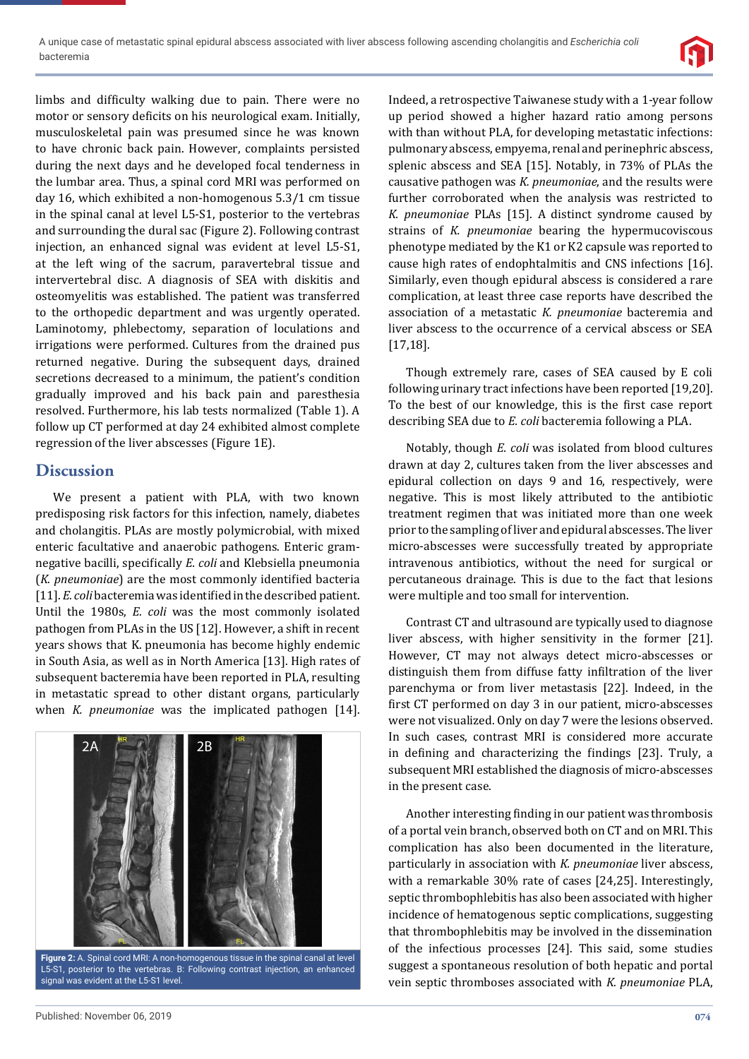

limbs and difficulty walking due to pain. There were no motor or sensory deficits on his neurological exam. Initially, musculoskeletal pain was presumed since he was known to have chronic back pain. However, complaints persisted during the next days and he developed focal tenderness in the lumbar area. Thus, a spinal cord MRI was performed on day 16, which exhibited a non-homogenous 5.3/1 cm tissue in the spinal canal at level L5-S1, posterior to the vertebras and surrounding the dural sac (Figure 2). Following contrast injection, an enhanced signal was evident at level L5-S1, at the left wing of the sacrum, paravertebral tissue and intervertebral disc. A diagnosis of SEA with diskitis and osteomyelitis was established. The patient was transferred to the orthopedic department and was urgently operated. Laminotomy, phlebectomy, separation of loculations and irrigations were performed. Cultures from the drained pus returned negative. During the subsequent days, drained secretions decreased to a minimum, the patient's condition gradually improved and his back pain and paresthesia resolved. Furthermore, his lab tests normalized (Table 1). A follow up CT performed at day 24 exhibited almost complete regression of the liver abscesses (Figure 1E).

### **Discussion**

We present a patient with PLA, with two known predisposing risk factors for this infection, namely, diabetes and cholangitis. PLAs are mostly polymicrobial, with mixed enteric facultative and anaerobic pathogens. Enteric gramnegative bacilli, specifically *E. coli* and Klebsiella pneumonia (*K. pneumoniae*) are the most commonly identified bacteria [11]. *E. coli* bacteremia was identified in the described patient. Until the 1980s, *E. coli* was the most commonly isolated pathogen from PLAs in the US [12]. However, a shift in recent years shows that K. pneumonia has become highly endemic in South Asia, as well as in North America [13]. High rates of subsequent bacteremia have been reported in PLA, resulting in metastatic spread to other distant organs, particularly when *K. pneumoniae* was the implicated pathogen [14].



**Figure 2:** A. Spinal cord MRI: A non-homogenous tissue in the spinal canal at level L5-S1, posterior to the vertebras. B: Following contrast injection, an enhanced signal was evident at the L5-S1 level.

Indeed, a retrospective Taiwanese study with a 1-year follow up period showed a higher hazard ratio among persons with than without PLA, for developing metastatic infections: pulmonary abscess, empyema, renal and perinephric abscess, splenic abscess and SEA [15]. Notably, in 73% of PLAs the causative pathogen was *K. pneumoniae*, and the results were further corroborated when the analysis was restricted to *K. pneumoniae* PLAs [15]. A distinct syndrome caused by strains of *K. pneumoniae* bearing the hypermucoviscous phenotype mediated by the K1 or K2 capsule was reported to cause high rates of endophtalmitis and CNS infections [16]. Similarly, even though epidural abscess is considered a rare complication, at least three case reports have described the association of a metastatic *K. pneumoniae* bacteremia and liver abscess to the occurrence of a cervical abscess or SEA [17,18].

Though extremely rare, cases of SEA caused by E coli following urinary tract infections have been reported [19,20]. To the best of our knowledge, this is the first case report describing SEA due to *E. coli* bacteremia following a PLA.

Notably, though *E. coli* was isolated from blood cultures drawn at day 2, cultures taken from the liver abscesses and epidural collection on days 9 and 16, respectively, were negative. This is most likely attributed to the antibiotic treatment regimen that was initiated more than one week prior to the sampling of liver and epidural abscesses. The liver micro-abscesses were successfully treated by appropriate intravenous antibiotics, without the need for surgical or percutaneous drainage. This is due to the fact that lesions were multiple and too small for intervention.

Contrast CT and ultrasound are typically used to diagnose liver abscess, with higher sensitivity in the former [21]. However, CT may not always detect micro-abscesses or distinguish them from diffuse fatty infiltration of the liver parenchyma or from liver metastasis [22]. Indeed, in the first CT performed on day 3 in our patient, micro-abscesses were not visualized. Only on day 7 were the lesions observed. In such cases, contrast MRI is considered more accurate in defining and characterizing the findings [23]. Truly, a subsequent MRI established the diagnosis of micro-abscesses in the present case.

Another interesting finding in our patient was thrombosis of a portal vein branch, observed both on CT and on MRI. This complication has also been documented in the literature, particularly in association with *K. pneumoniae* liver abscess, with a remarkable 30% rate of cases [24,25]. Interestingly, septic thrombophlebitis has also been associated with higher incidence of hematogenous septic complications, suggesting that thrombophlebitis may be involved in the dissemination of the infectious processes [24]. This said, some studies suggest a spontaneous resolution of both hepatic and portal vein septic thromboses associated with *K. pneumoniae* PLA,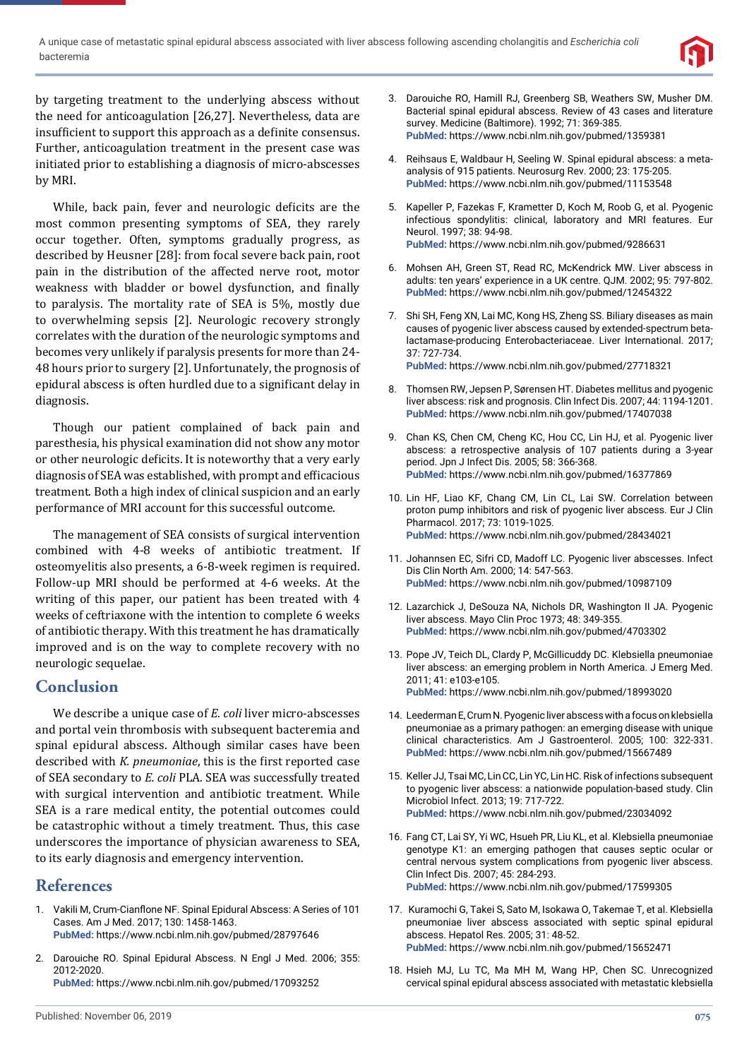

by targeting treatment to the underlying abscess without the need for anticoagulation [26,27]. Nevertheless, data are insufficient to support this approach as a definite consensus. Further, anticoagulation treatment in the present case was initiated prior to establishing a diagnosis of micro-abscesses by MRI.

While, back pain, fever and neurologic deficits are the most common presenting symptoms of SEA, they rarely occur together. Often, symptoms gradually progress, as described by Heusner [28]: from focal severe back pain, root pain in the distribution of the affected nerve root, motor weakness with bladder or bowel dysfunction, and finally to paralysis. The mortality rate of SEA is 5%, mostly due to overwhelming sepsis [2]. Neurologic recovery strongly correlates with the duration of the neurologic symptoms and becomes very unlikely if paralysis presents for more than 24- 48 hours prior to surgery [2]. Unfortunately, the prognosis of epidural abscess is often hurdled due to a significant delay in diagnosis.

Though our patient complained of back pain and paresthesia, his physical examination did not show any motor or other neurologic deficits. It is noteworthy that a very early diagnosis of SEA was established, with prompt and efficacious treatment. Both a high index of clinical suspicion and an early performance of MRI account for this successful outcome.

The management of SEA consists of surgical intervention combined with 4-8 weeks of antibiotic treatment. If osteomyelitis also presents, a 6-8-week regimen is required. Follow-up MRI should be performed at 4-6 weeks. At the writing of this paper, our patient has been treated with 4 weeks of ceftriaxone with the intention to complete 6 weeks of antibiotic therapy. With this treatment he has dramatically improved and is on the way to complete recovery with no neurologic sequelae.

## **Conclusion**

We describe a unique case of *E. coli* liver micro-abscesses and portal vein thrombosis with subsequent bacteremia and spinal epidural abscess. Although similar cases have been described with *K. pneumoniae*, this is the first reported case of SEA secondary to *E. coli* PLA. SEA was successfully treated with surgical intervention and antibiotic treatment. While SEA is a rare medical entity, the potential outcomes could be catastrophic without a timely treatment. Thus, this case underscores the importance of physician awareness to SEA, to its early diagnosis and emergency intervention.

### **References**

- 1. Vakili M, Crum-Cianflone NF. Spinal Epidural Abscess: A Series of 101 Cases. Am J Med. 2017; 130: 1458-1463. **PubMed:** https://www.ncbi.nlm.nih.gov/pubmed/28797646
- 2. Darouiche RO. Spinal Epidural Abscess. N Engl J Med. 2006; 355: 2012-2020. **PubMed:** https://www.ncbi.nlm.nih.gov/pubmed/17093252
- 3. Darouiche RO, Hamill RJ, Greenberg SB, Weathers SW, Musher DM. Bacterial spinal epidural abscess. Review of 43 cases and literature survey. Medicine (Baltimore). 1992; 71: 369-385. **PubMed:** https://www.ncbi.nlm.nih.gov/pubmed/1359381
- 4. Reihsaus E, Waldbaur H, Seeling W. Spinal epidural abscess: a metaanalysis of 915 patients. Neurosurg Rev. 2000; 23: 175-205. **PubMed:** https://www.ncbi.nlm.nih.gov/pubmed/11153548
- 5. Kapeller P, Fazekas F, Krametter D, Koch M, Roob G, et al. Pyogenic infectious spondylitis: clinical, laboratory and MRI features. Eur Neurol. 1997; 38: 94-98. **PubMed:** https://www.ncbi.nlm.nih.gov/pubmed/9286631
- 6. Mohsen AH, Green ST, Read RC, McKendrick MW. Liver abscess in adults: ten years' experience in a UK centre. QJM. 2002; 95: 797-802. **PubMed:** https://www.ncbi.nlm.nih.gov/pubmed/12454322
- 7. Shi SH, Feng XN, Lai MC, Kong HS, Zheng SS. Biliary diseases as main causes of pyogenic liver abscess caused by extended-spectrum betalactamase-producing Enterobacteriaceae. Liver International. 2017; 37: 727-734. **PubMed:** https://www.ncbi.nlm.nih.gov/pubmed/27718321
	-
- 8. Thomsen RW, Jepsen P, Sørensen HT. Diabetes mellitus and pyogenic liver abscess: risk and prognosis. Clin Infect Dis. 2007; 44: 1194-1201. **PubMed:** https://www.ncbi.nlm.nih.gov/pubmed/17407038
- 9. Chan KS, Chen CM, Cheng KC, Hou CC, Lin HJ, et al. Pyogenic liver abscess: a retrospective analysis of 107 patients during a 3-year period. Jpn J Infect Dis. 2005; 58: 366-368. **PubMed:** https://www.ncbi.nlm.nih.gov/pubmed/16377869
- 10. Lin HF, Liao KF, Chang CM, Lin CL, Lai SW. Correlation between proton pump inhibitors and risk of pyogenic liver abscess. Eur J Clin Pharmacol. 2017; 73: 1019-1025. **PubMed:** https://www.ncbi.nlm.nih.gov/pubmed/28434021
- 11. Johannsen EC, Sifri CD, Madoff LC. Pyogenic liver abscesses. Infect Dis Clin North Am. 2000; 14: 547-563. **PubMed:** https://www.ncbi.nlm.nih.gov/pubmed/10987109
- 12. Lazarchick J, DeSouza NA, Nichols DR, Washington II JA. Pyogenic liver abscess. Mayo Clin Proc 1973; 48: 349-355. **PubMed:** https://www.ncbi.nlm.nih.gov/pubmed/4703302
- 13. Pope JV, Teich DL, Clardy P, McGillicuddy DC. Klebsiella pneumoniae liver abscess: an emerging problem in North America. J Emerg Med. 2011; 41: e103-e105. **PubMed:** https://www.ncbi.nlm.nih.gov/pubmed/18993020
- 14. Leederman E, Crum N. Pyogenic liver abscess with a focus on klebsiella pneumoniae as a primary pathogen: an emerging disease with unique clinical characteristics. Am J Gastroenterol. 2005; 100: 322-331. **PubMed:** https://www.ncbi.nlm.nih.gov/pubmed/15667489
- 15. Keller JJ, Tsai MC, Lin CC, Lin YC, Lin HC. Risk of infections subsequent to pyogenic liver abscess: a nationwide population-based study. Clin Microbiol Infect. 2013; 19: 717-722. **PubMed:** https://www.ncbi.nlm.nih.gov/pubmed/23034092
- 16. Fang CT, Lai SY, Yi WC, Hsueh PR, Liu KL, et al. Klebsiella pneumoniae genotype K1: an emerging pathogen that causes septic ocular or central nervous system complications from pyogenic liver abscess. Clin Infect Dis. 2007; 45: 284-293. **PubMed:** https://www.ncbi.nlm.nih.gov/pubmed/17599305
- 17. Kuramochi G, Takei S, Sato M, Isokawa O, Takemae T, et al. Klebsiella pneumoniae liver abscess associated with septic spinal epidural abscess. Hepatol Res. 2005; 31: 48-52. **PubMed:** https://www.ncbi.nlm.nih.gov/pubmed/15652471
- 18. Hsieh MJ, Lu TC, Ma MH M, Wang HP, Chen SC. Unrecognized cervical spinal epidural abscess associated with metastatic klebsiella